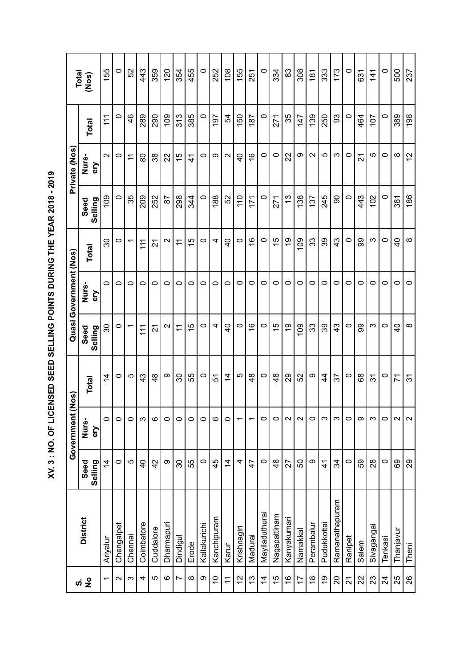XV. 3 : NO. OF LICENSED SEED SELLING POINTS DURING THE YEAR 2018 - 2019  **XV. 3 : NO. OF LICENSED SEED SELLING POINTS DURING THE YEAR 2018 - 2019**

|                        | Total<br>(Nos)         | 155                      | 0                 | 52                 | 43             | 359           | 120               | 354            | 455           | $\circ$      | 252         | 108            | 155                      | 251            | $\circ$        | 334           | 83            | 308            | 181             | 333           | 173            | $\circ$ | 631   | 141             | $\circ$        | 500            | 237                   |
|------------------------|------------------------|--------------------------|-------------------|--------------------|----------------|---------------|-------------------|----------------|---------------|--------------|-------------|----------------|--------------------------|----------------|----------------|---------------|---------------|----------------|-----------------|---------------|----------------|---------|-------|-----------------|----------------|----------------|-----------------------|
|                        | Total                  | $\frac{11}{11}$          | 0                 | $\frac{6}{4}$      | 289            | 290           | 109               | 313            | 385           | 0            | 101         | 54             | 150                      | 187            | 0              | 271           | 35            | 147            | 139             | 250           | 3              | 0       | 464   | 107             | 0              | 389            | 198                   |
| Private (Nos           | Nurs-<br>ery           | $\sim$                   | 0                 | $\widetilde{\tau}$ | 80             | 38            | 22                | 15             | $\frac{4}{1}$ | 0            | თ           | $\sim$         | $\overline{4}$           | $\frac{6}{5}$  | $\circ$        | 0             | 22            | တ              | $\mathbf{\sim}$ | LO            | ო              | $\circ$ | 21    | 5               | 0              | $\infty$       | $\tilde{c}$           |
|                        | Seed<br>Selling        | 109                      | 0                 | 35                 | 209            | 252           | 29                | 298            | 344           | $\circ$      | 188         | 52             | 110                      | 171            | 0              | 271           | $\frac{3}{2}$ | 138            | 137             | 245           | ဓ              | 0       | 443   | 102             | 0              | 381            | 186                   |
|                        | Total                  | 30                       | 0                 | ᠇                  | 111            | 21            | $\mathbf{\sim}$   | $\tilde{t}$    | 15            | 0            | 4           | $\overline{4}$ | 0                        | ဖ              | 0              | 15            | ი<br>1        | 109            | 33              | 39            | 43             | 0       | 99    | က               | 0              | $\overline{a}$ | $\infty$              |
| Quasi Government (Nos) | Nurs-<br>ery           | 0                        | 0                 | 0                  | $\circ$        | 0             | $\circ$           | 0              | 0             | O            | $\circ$     | $\circ$        | 0                        | $\circ$        | $\circ$        | 0             | 0             | $\circ$        | 0               | 0             | 0              | 0       | 0     | 0               | 0              | 0              | 0                     |
|                        | Seed<br>Selling        | 30                       | 0                 | ᠇                  | 11             | 21            | $\mathbf{\Omega}$ | $\tilde{t}$    | 15            | 0            | 4           | $\overline{a}$ | 0                        | $\frac{6}{1}$  | 0              | 15            | Q)            | 109            | 33              | 39            | 43             | 0       | ဓ္တ   | က               | 0              | $\overline{a}$ | $\infty$              |
| (Nos)                  | Total                  | $\overline{4}$           | 0                 | 5                  | 43             | $\frac{8}{4}$ | တ                 | 30             | 55            | $\circ$      | 51          | $\overline{4}$ | 5                        | $\frac{8}{4}$  | $\circ$        | 48            | 29            | 52             | თ               | $\frac{4}{4}$ | 57             | 0       | 89    | $\frac{1}{2}$   | $\circ$        | 71             | $\tilde{\mathcal{E}}$ |
| Government             | Nurs-<br>ery           | $\circ$                  | 0                 | $\circ$            | က              | ဖ             | $\circ$           | $\circ$        | 0             | $\circ$      | G           | $\circ$        | $\overline{\phantom{0}}$ | ᡪ              | $\circ$        | 0             | $\sim$        | $\sim$         | $\circ$         | S             | က              | $\circ$ | ω     | ო               | $\circ$        | $\sim$         | $\mathbf{\Omega}$     |
|                        | Selling<br><b>Seed</b> | $\overline{4}$           | $\circ$           | Ю                  | $\overline{4}$ | $\frac{2}{3}$ | တ                 | 30             | 55            | $\circ$      | 45          | $\frac{4}{3}$  | 4                        | $\overline{4}$ | $\circ$        | $\frac{8}{4}$ | 27            | 50             | တ               | $\frac{4}{1}$ | 34             | $\circ$ | 59    | $\overline{28}$ | $\circ$        | 89             | $\mathcal{S}^2$       |
|                        | <b>District</b>        | Ariyalur                 | Chengalpet        | Chennai            | Coimbatore     | Cuddalore     | Dharmapuri        | Dindigul       | Erode         | Kallakurichi | Kanchipuram | Karur          | Krishnagiri              | Madurai        | Mayiladuthurai | Nagapattinam  | Kanyakumari   | Namakkal       | Perambalur      | Pudukkottai   | Ramanathapuram | Ranipet | Salem | Sivagangai      | Tenkasi        | Thanjavur      | Theni                 |
|                        |                        | $\overline{\phantom{0}}$ | $\mathbf{\Omega}$ | S                  | 4              | Ю             | ဖ                 | $\overline{ }$ | $\infty$      | $\circ$      | $\tilde{0}$ | $\leftarrow$   | 12                       | $\tilde{c}$    | $\overline{4}$ | 15            | $\frac{6}{5}$ | $\overline{1}$ | $\frac{8}{1}$   | $\frac{6}{1}$ | $\overline{c}$ | 21      | 22    | 23              | $\overline{2}$ | 25             | 26                    |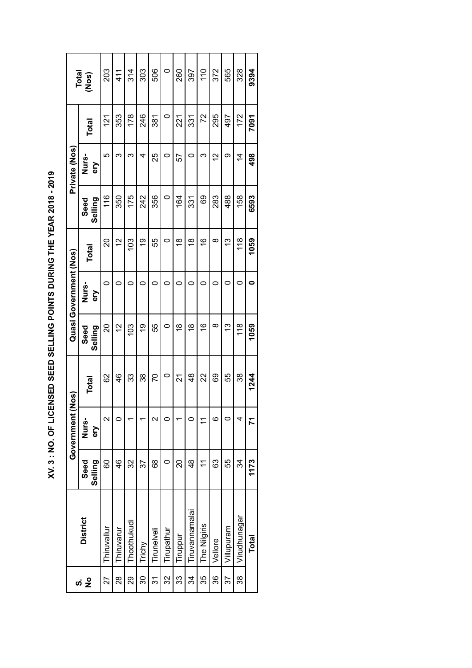| l                                                                                                                                                                                                                                |
|----------------------------------------------------------------------------------------------------------------------------------------------------------------------------------------------------------------------------------|
|                                                                                                                                                                                                                                  |
| いんりょう リンピュート りこしょう                                                                                                                                                                                                               |
|                                                                                                                                                                                                                                  |
|                                                                                                                                                                                                                                  |
|                                                                                                                                                                                                                                  |
|                                                                                                                                                                                                                                  |
|                                                                                                                                                                                                                                  |
|                                                                                                                                                                                                                                  |
| =<br>;<br>;                                                                                                                                                                                                                      |
|                                                                                                                                                                                                                                  |
|                                                                                                                                                                                                                                  |
|                                                                                                                                                                                                                                  |
|                                                                                                                                                                                                                                  |
| $\frac{1}{2}$ . The set of the set of the set of the set of the set of the set of the set of the set of the set of the set of the set of the set of the set of the set of the set of the set of the set of the set of the set of |
|                                                                                                                                                                                                                                  |
|                                                                                                                                                                                                                                  |
|                                                                                                                                                                                                                                  |
|                                                                                                                                                                                                                                  |
|                                                                                                                                                                                                                                  |
|                                                                                                                                                                                                                                  |
| icidents<br>-<br>-                                                                                                                                                                                                               |
|                                                                                                                                                                                                                                  |
| $\ddot{\phantom{a}}$                                                                                                                                                                                                             |
|                                                                                                                                                                                                                                  |
|                                                                                                                                                                                                                                  |
|                                                                                                                                                                                                                                  |
|                                                                                                                                                                                                                                  |

|                        | Total<br>(Nos)         | 203               | 41<br>4    | 314           | 303    | 506         | 0          | 260           | 397            | $\frac{0}{1}$  | 372      | 565        | 328            | 9394         |
|------------------------|------------------------|-------------------|------------|---------------|--------|-------------|------------|---------------|----------------|----------------|----------|------------|----------------|--------------|
|                        | Total                  | $\frac{121}{2}$   | 353        | 178           | 246    | 381         | $\circ$    | 221           | 331            | 72             | 295      | 497        | 172            | 7091         |
| Private (Nos)          | Nurs-<br>δ             | 5                 | ო          | ო             | 4      | 25          | 0          | 57            | 0              | ო              | 57       | တ          | $\overline{4}$ | 498          |
|                        | Seed<br>Selling        | 116               | 350        | 175           | 242    | 356         | 0          | 164           | 331            | 89             | 283      | 488        | 158            | 6593         |
|                        | Total                  | 20                | 2          | $\frac{3}{2}$ | Q)     | 55          | 0          | $\frac{8}{1}$ | $\frac{8}{1}$  | $\frac{6}{5}$  | $\infty$ | 13         | $\frac{8}{1}$  | 1059         |
| Quasi Government (Nos) | Nurs-<br>δ             | 0                 | 0          | 0             | 0      | 0           | 0          | 0             | 0              | 0              | 0        | 0          | 0              | 0            |
|                        | Seed<br>Selling        | 20                | 2          | 103           | Q)     | 55          | 0          | ഇ             | $\frac{8}{1}$  | $\frac{6}{5}$  | ∞        | <u>ლ</u>   | $\frac{8}{1}$  | 1059         |
| <u>(so</u> N           | <b>Total</b>           | 82                | 46         | 33            | 38     | 20          | 0          | 21            | $\frac{8}{4}$  | 22             | 69       | 55         | 38             | 1244         |
| Government             | Nurs-<br>ΘŊ            | $\mathbf{\Omega}$ | 0          |               |        | $\sim$      | 0          |               | $\circ$        | 1              | ဖ        | $\circ$    | 4              | 71           |
|                        | Selling<br><b>Seed</b> | 8                 | 46         | 32            | 37     | 89          | $\circ$    | 20            | $\frac{8}{4}$  | $\tilde{\tau}$ | 63       | 55         | 34             | 1173         |
|                        | <b>District</b>        | Thiruvallur       | Thiruvarur | Thoothukudi   | Trichy | Tirunelveli | Tirupathur | Tiruppur      | Tiruvannamalai | The Nilgiris   | Vellore  | Villupuram | Virudhunagar   | <b>Total</b> |
|                        |                        | 27                | 28         | 8             | న్     | 24          | 32         | 33            | 34             | 35             | 36       | 37         | 38             |              |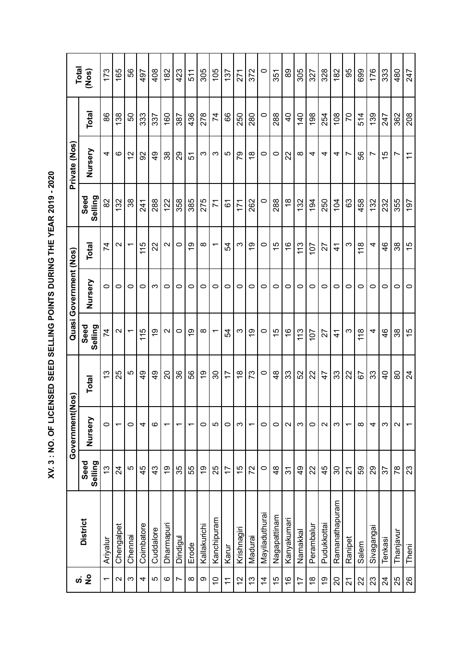| i<br>$\vdots$<br>ׇ֚֘֝֬                                                                               |
|------------------------------------------------------------------------------------------------------|
|                                                                                                      |
|                                                                                                      |
|                                                                                                      |
|                                                                                                      |
|                                                                                                      |
|                                                                                                      |
|                                                                                                      |
|                                                                                                      |
|                                                                                                      |
| , " over de alth und die dizzion und chus chus de la die die la die die die valle die die district d |
|                                                                                                      |
|                                                                                                      |

|                          |                 |                  | Government               | (Nos)          |                               | Quasi Government (Nos) |                          |                 | Private (Nos)            |                |                |
|--------------------------|-----------------|------------------|--------------------------|----------------|-------------------------------|------------------------|--------------------------|-----------------|--------------------------|----------------|----------------|
|                          | <b>District</b> | Seed<br>Selling  | Nursery                  | <b>Total</b>   | Seed<br>Selling               | Nursery                | Total                    | Selling<br>Seed | Nursery                  | Total          | Total<br>(Nos) |
| $\overline{\phantom{0}}$ | Ariyalur        | $\tilde{c}$      | 0                        | 13             | 74                            | 0                      | 74                       | 82              | 4                        | 86             | 173            |
| $\mathbf{\Omega}$        | Chengalpet      | 24               | ᠇                        | 25             | $\mathbf{\Omega}$             | 0                      | $\mathbf{\sim}$          | 132             | ဖ                        | 138            | 165            |
| S                        | Chennai         | Ю                | 0                        | 5              | ۳                             | 0                      | $\overline{\phantom{0}}$ | 38              | 57                       | 50             | 56             |
| 4                        | Coimbatore      | 45               | 4                        | $\frac{9}{4}$  | 115                           | 0                      | 115                      | 241             | 92                       | 333            | 497            |
| 5                        | Cuddalore       | 43               | ဖ                        | $\frac{6}{4}$  | Q)                            | က                      | 22                       | 288             | $\frac{6}{4}$            | 337            | 408            |
| $\circ$                  | Dharmapuri      | $\overline{9}$   | ↽                        | 20             | $\sim$                        | 0                      | $\mathbf{\Omega}$        | 122             | 38                       | 160            | 182            |
| $\overline{ }$           | Dindigul        | 35               | ↽                        | 36             | $\circ$                       | 0                      | $\circ$                  | 358             | 29                       | 387            | 423            |
| $\infty$                 | Erode           | 55               | ↽                        | 99             | Q)                            | 0                      | Q)                       | 385             | 51                       | 436            | 511            |
| $\circ$                  | Kallakurichi    | 6Ļ               | 0                        | Q)             | $\infty$                      | $\circ$                | $\infty$                 | 275             | က                        | 278            | 305            |
| $\tilde{=}$              | Kanchipuram     | 25               | 5                        | 30             | $\overline{\phantom{0}}$      | 0                      | $\overline{\phantom{0}}$ | 71              | က                        | 74             | 105            |
| $\mathcal{L}$            | Karur           | $\overline{1}$   | 0                        | 17             | 54                            | 0                      | 54                       | 61              | 5                        | 66             | 137            |
| 12                       | Krishnagiri     | 15               | က                        | $\frac{8}{1}$  | က                             | $\circ$                | က                        | 171             | 54                       | 250            | 271            |
| $\frac{3}{2}$            | Madurai         | 72               | ↽                        | 73             | တ<br>$\overline{\phantom{0}}$ | 0                      | Q)                       | 262             | $\frac{8}{1}$            | 280            | 372            |
| $\overline{4}$           | Mayiladuthurai  | $\circ$          | 0                        | 0              | $\circ$                       | $\circ$                | $\circ$                  | 0               | 0                        | $\circ$        | $\circ$        |
| 15                       | Nagapattinam    | $\frac{8}{4}$    | 0                        | $\frac{8}{4}$  | 15                            | $\circ$                | $\frac{5}{1}$            | 288             | $\circ$                  | 288            | 351            |
| $\frac{6}{1}$            | Kanyakumari     | 31               | $\sim$                   | 33             | $\frac{6}{5}$                 | 0                      | $\frac{6}{5}$            | $\frac{8}{1}$   | 22                       | $\overline{0}$ | 89             |
| 17                       | Namakkal        | $\frac{6}{7}$    | က                        | 52             | 113                           | 0                      | 113                      | 132             | $\infty$                 | 140            | 305            |
| $\frac{8}{3}$            | Perambalur      | 22               | 0                        | 22             | 107                           | $\circ$                | 107                      | 194             | 4                        | 198            | 327            |
| $\overline{9}$           | Pudukkottai     | 45               | $\sim$                   | 47             | 27                            | $\circ$                | 27                       | 250             | 4                        | 254            | 328            |
| 20                       | Ramanathapuram  | 30               | က                        | 33             | $\frac{4}{3}$                 | 0                      | $\frac{4}{3}$            | 104             | 4                        | 108            | 182            |
| $\tilde{\mathcal{L}}$    | Ranipet         | $\overline{2}$ 1 | ↽                        | 22             | က                             | $\circ$                | ς                        | 63              | $\overline{\phantom{0}}$ | 20             | 95             |
| 22                       | Salem           | 59               | ∞                        | 5              | 118                           | $\circ$                | 118                      | 458             | 56                       | 514            | 699            |
| 23                       | Sivagangai      | 29               | 4                        | 33             | 4                             | 0                      | 4                        | 132             | r                        | 139            | 176            |
| $\overline{24}$          | Tenkasi         | 57               | က                        | $\overline{a}$ | 46                            | 0                      | 46                       | 232             | $\frac{5}{1}$            | 247            | 333            |
| 25                       | Thanjavur       | $\frac{8}{2}$    | $\sim$                   | 80             | 38                            | 0                      | 38                       | 355             | Ľ                        | 362            | 480            |
| 26                       | Theni           | 23               | $\overline{\phantom{0}}$ | $\overline{2}$ | 15                            | $\circ$                | 15                       | 197             | $\tilde{\tau}$           | 208            | 247            |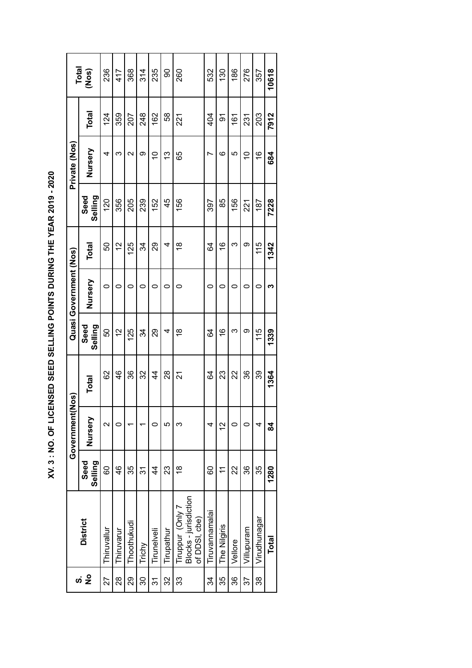XV. 3 : NO. OF LICENSED SEED SELLING POINTS DURING THE YEAR 2019 - 2020  **XV. 3 : NO. OF LICENSED SEED SELLING POINTS DURING THE YEAR 2019 - 2020**

|                           |                                                            |                                                                        | Government        | Nos)          |                 | Quasi Government (Nos) |               |                        | Private (Nos)   |              |                |
|---------------------------|------------------------------------------------------------|------------------------------------------------------------------------|-------------------|---------------|-----------------|------------------------|---------------|------------------------|-----------------|--------------|----------------|
| $\frac{1}{2}$<br><b>ဟ</b> | <b>District</b>                                            | Selling<br>ಕಾಂ                                                         | Nursery           | <b>Total</b>  | Seed<br>Selling | Nursery                | Total         | Selling<br><b>Seed</b> | Nursery         | <b>Total</b> | Total<br>(Nos) |
| 27                        | Thiruvallur                                                | 8                                                                      | $\mathbf{\Omega}$ | 82            | 50              | 0                      | 50            | 120                    | 4               | 124          | 236            |
| $\frac{8}{2}$             | Thiruvarur                                                 | 46                                                                     |                   | 46            | 2               | 0                      | $\frac{2}{3}$ | 356                    | ო               | 359          | 417            |
| 29                        | Thoothukudi                                                | 35                                                                     |                   | 36            | 125             | 0                      | 125           | 205                    | $\mathbf{\sim}$ | 207          | 368            |
| <u>၃</u>                  | Trichy                                                     | 24                                                                     |                   | 32            | 34              | 0                      | 34            | 239                    | ග               | 248          | 314            |
| ত<br>শ                    | Tirunelveli                                                | $\frac{4}{3}$                                                          |                   | $\frac{4}{3}$ | 29              | 0                      | 29            | 152                    | S               | 162          | 235            |
| 32                        | Tirupathur                                                 | 23                                                                     | 5                 | 28            | 4               | 0                      | 4             | 45                     | <u>ლ</u>        | 58           | 8              |
| 33                        | Blocks - jurisdiction<br>Tiruppur (Only 7<br>of DDSI, cbe) | $\frac{8}{1}$                                                          | ო                 | 21            | $\frac{8}{1}$   | 0                      | $\frac{8}{1}$ | 156                    | 65              | 221          | 260            |
| ઝ                         | Tiruvannamalai                                             | 8                                                                      | 4                 | 84            | 84              | 0                      | 84            | 397                    | r               | 404          | 532            |
| 35                        | The Nilgiris                                               | $\stackrel{\textstyle\textstyle\leftarrow}{\textstyle\textstyle\cdot}$ | $\frac{2}{1}$     | 23            | $\frac{6}{5}$   | 0                      | $\frac{6}{1}$ | 85                     | ဖ               | 5            | 130            |
| 36                        | Vellore                                                    | 22                                                                     |                   | 22            | ო               | 0                      | ო             | 156                    | 5               | 161          | 186            |
| 57                        | Villupuram                                                 | 36                                                                     |                   | 36            | တ               | 0                      | တ             | 221                    | $\frac{1}{2}$   | 231          | 276            |
| 38                        | Virudhunagar                                               | 35                                                                     | 4                 | 39            | 115             | 0                      | 115           | 187                    | $\frac{6}{5}$   | 203          | 357            |
|                           | <b>Total</b>                                               | 1280                                                                   | 84                | 1364          | 1339            | ო                      | 1342          | 7228                   | 684             | 7912         | 10618          |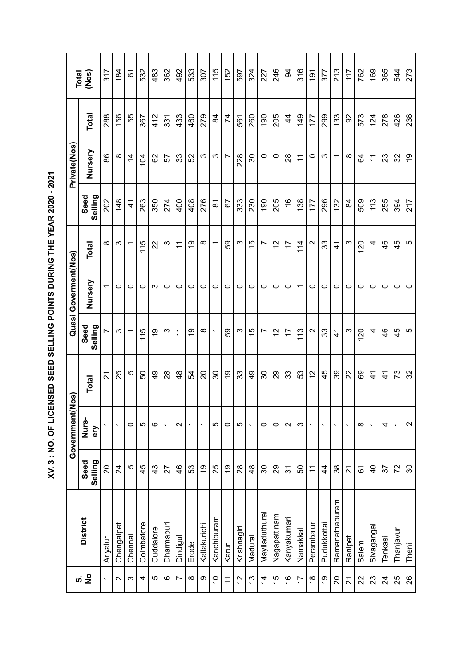| I                                                                                                                    |
|----------------------------------------------------------------------------------------------------------------------|
| ׇ֚֓                                                                                                                  |
|                                                                                                                      |
|                                                                                                                      |
| <b>1999 - 1999 - 1999 - 1999 - 1999 - 1999 - 1999 - 1999 - 1999 - 1999 - 1999 - 1999 - 1999 - 1999 - 1999 - 1999</b> |
| ֦                                                                                                                    |
|                                                                                                                      |
|                                                                                                                      |
|                                                                                                                      |
| ild ild ild ild                                                                                                      |
|                                                                                                                      |
| $\frac{1}{2}$                                                                                                        |
|                                                                                                                      |

|                          |                 |                 | Government               | (Nos)          |                                | Quasi Goverment(Nos) |                   |                     | Private(Nos)             |               |                |
|--------------------------|-----------------|-----------------|--------------------------|----------------|--------------------------------|----------------------|-------------------|---------------------|--------------------------|---------------|----------------|
| ທ່ <mark>2</mark>        | <b>District</b> | Selling<br>Seed | Nurs-<br>ery             | Total          | Seed<br>Selling                | Nursery              | Total             | Seed<br>Selling     | Nursery                  | Total         | Total<br>(Nos) |
| $\overline{\phantom{0}}$ | Ariyalur        | 20              | ↽                        | 24             | Ľ                              | $\overline{ }$       | ∞                 | 202                 | 86                       | 288           | 317            |
| $\mathbf{\Omega}$        | Chengalpet      | 24              | $\overline{\phantom{0}}$ | 25             | ς                              | 0                    | က                 | 148                 | ∞                        | 156           | 184            |
| က                        | Chennai         | Ю               | 0                        | 5              |                                | 0                    | ᠇                 | $\frac{4}{1}$       | $\overline{4}$           | 55            | 67             |
| 4                        | Coimbatore      | 45              | 5                        | 50             | 15<br>$\overline{\phantom{0}}$ | $\circ$              | 115               | 263                 | 104                      | 367           | 532            |
| Ю                        | Cuddalore       | 43              | ဖ                        | QÞ             | 6r                             | ო                    | 22                | 350                 | 82                       | 412           | 483            |
| $\circ$                  | Dharmapuri      | 27              | ᡪ                        | 28             | S                              | $\circ$              | ς                 | 274                 | 57                       | 331           | 362            |
| $\overline{ }$           | Dindigul        | 46              | $\sim$                   | $\frac{8}{4}$  | $\tilde{t}$                    | 0                    | $\tilde{t}$       | 400                 | 33                       | 433           | 492            |
| $\infty$                 | Erode           | 53              | $\overline{\phantom{0}}$ | 54             | စ္                             | 0                    | 6)                | 408                 | 52                       | 460           | 533            |
| တ                        | Kallakurichi    | $\overline{9}$  | ↽                        | $\Omega$       | $\infty$                       | $\circ$              | $\infty$          | 276                 | $\infty$                 | 279           | 307            |
| $\overline{C}$           | Kanchipuram     | 25              | 5                        | 30             | ᠇                              | 0                    | ↽                 | $\overline{\infty}$ | က                        | 84            | 115            |
| $\tilde{t}$              | Karur           | Ó,              | $\circ$                  | $\overline{9}$ | 59                             | 0                    | 59                | 57                  | $\overline{ }$           | 74            | 152            |
| 12                       | Krishnagiri     | 28              | 5                        | 33             | S                              | 0                    | ω                 | 333                 | 228                      | 561           | 597            |
| $\tilde{c}$              | Madurai         | $\frac{8}{4}$   | ᡪ                        | $\frac{9}{4}$  | $\frac{5}{1}$                  | 0                    | $\frac{5}{1}$     | 230                 | 30                       | 260           | 324            |
| $\frac{4}{3}$            | Mayiladuthurai  | 8               | 0                        | న్             | $\overline{ }$                 | 0                    | $\overline{ }$    | 190                 | 0                        | 190           | 227            |
| 15                       | Nagapattinam    | 29              | 0                        | 29             | 12                             | 0                    | 12                | 205                 | 0                        | 205           | 246            |
| $\frac{6}{5}$            | Kanyakumari     | $\overline{3}$  | $\mathbf{\Omega}$        | 33             | $\overline{1}$                 | 0                    | 17                | $\frac{6}{5}$       | 28                       | $\frac{4}{3}$ | 94             |
| 17                       | Namakkal        | 50              | က                        | S3             | 113                            | ᠇                    | 114               | 138                 | $\tilde{t}$              | 149           | 316            |
| $\frac{8}{1}$            | Perambalur      | $\leftarrows$   | ↽                        | $\tilde{c}$    | $\mathbf{\Omega}$              | 0                    | $\mathbf{\Omega}$ | 177                 | $\circ$                  | 177           | 191            |
| ó)                       | Pudukkottai     | $\overline{4}$  | ᡪ                        | 45             | 33                             | 0                    | 33                | 296                 | S                        | 299           | 377            |
| $\Omega$                 | Ramanathapuram  | 38              | ᡪ                        | 89             | $\vec{+}$                      | 0                    | $\mathcal{A}$     | 132                 | $\overline{\phantom{0}}$ | 133           | 213            |
| 21                       | Ranipet         | 21              | $\overline{\phantom{0}}$ | 22             | ς                              | 0                    | ω                 | 84                  | $\infty$                 | 8             | 117            |
| 22                       | Salem           | 61              | $\infty$                 | 89             | 120                            | 0                    | 120               | 509                 | 3                        | 573           | 762            |
| 23                       | Sivagangai      | $\overline{6}$  | ᠇                        | $\mathcal{A}$  | 4                              | 0                    | 4                 | 113                 | $\overline{\mathbf{r}}$  | 124           | 169            |
| $\overline{2}$           | Tenkasi         | 57              | 4                        | $\frac{4}{3}$  | $\frac{4}{6}$                  | 0                    | $\frac{6}{4}$     | 255                 | 23                       | 278           | 365            |
| 25                       | Thanjavur       | 72              | ᠇                        | 73             | 45                             | 0                    | 45                | 394                 | 32                       | 426           | 544            |
| 26                       | Theni           | 80              | $\sim$                   | 32             | Ю                              | 0                    | 5                 | 217                 | ი<br>ს                   | 236           | 273            |